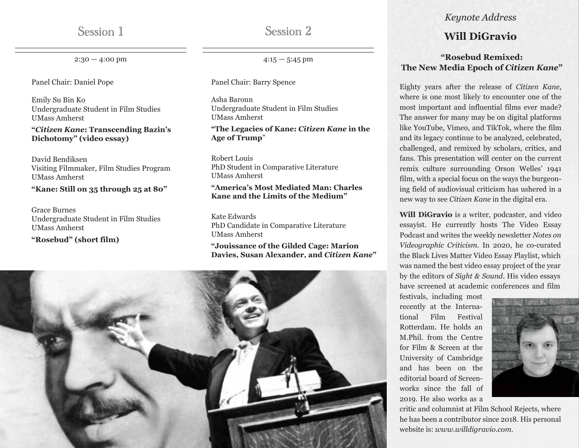$2:30 - 4:00$  pm

Panel Chair: Daniel Pope

Emily Su Bin Ko Undergraduate Student in Film Studies UMass Amherst

**"***Citizen Kane***: Transcending Bazin's Dichotomy" (video essay)**

David Bendiksen Visiting Filmmaker, Film Studies Program UMass Amherst

**"Kane: Still on 35 through 25 at 80"**

Grace Burnes Undergraduate Student in Film Studies UMass Amherst

**"Rosebud" (short film)**

Session 2

 $4:15 - 5:45$  pm

Panel Chair: Barry Spence

Asha Baronn Undergraduate Student in Film Studies UMass Amherst

### **"The Legacies of Kane:** *Citizen Kane* **in the Age of Trump**"

Robert Louis PhD Student in Comparative Literature UMass Amherst

### **"America's Most Mediated Man: Charles Kane and the Limits of the Medium"**

Kate Edwards PhD Candidate in Comparative Literature UMass Amherst

**"Jouissance of the Gilded Cage: Marion Davies, Susan Alexander, and** *Citizen Kane***"**



### *Keynote Address*

## Session 1 Session 2 **Will DiGravio**

### **"Rosebud Remixed: The New Media Epoch of** *Citizen Kane***"**

Eighty years after the release of *Citizen Kane*, where is one most likely to encounter one of the most important and influential films ever made? The answer for many may be on digital platforms like YouTube, Vimeo, and TikTok, where the film and its legacy continue to be analyzed, celebrated, challenged, and remixed by scholars, critics, and fans. This presentation will center on the current remix culture surrounding Orson Welles' 1941 film, with a special focus on the ways the burgeoning field of audiovisual criticism has ushered in a new way to see *Citizen Kane* in the digital era.

**Will DiGravio** is a writer, podcaster, and video essayist. He currently hosts The Video Essay Podcast and writes the weekly newsletter *Notes on Videographic Criticism*. In 2020, he co-curated the Black Lives Matter Video Essay Playlist, which was named the best video essay project of the year by the editors of *Sight & Sound*. His video essays have screened at academic conferences and film

festivals, including most recently at the International Film Festival Rotterdam. He holds an M.Phil. from the Centre for Film & Screen at the University of Cambridge and has been on the editorial board of Screenworks since the fall of 2019. He also works as a



critic and columnist at Film School Rejects, where he has been a contributor since 2018. His personal website is: *www.willdigravio.com*.